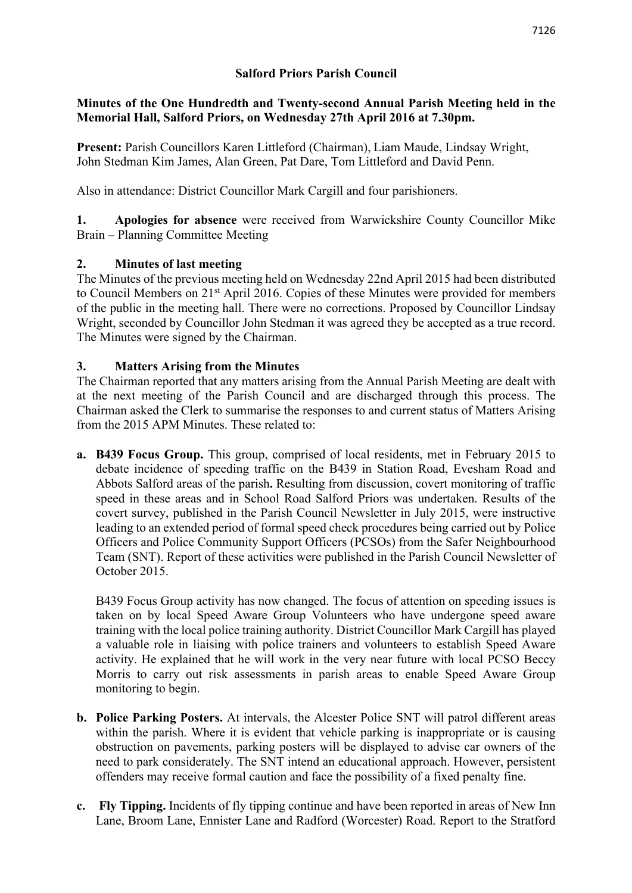## **Salford Priors Parish Council**

## **Minutes of the One Hundredth and Twenty-second Annual Parish Meeting held in the Memorial Hall, Salford Priors, on Wednesday 27th April 2016 at 7.30pm.**

**Present:** Parish Councillors Karen Littleford (Chairman), Liam Maude, Lindsay Wright, John Stedman Kim James, Alan Green, Pat Dare, Tom Littleford and David Penn.

Also in attendance: District Councillor Mark Cargill and four parishioners.

**1. Apologies for absence** were received from Warwickshire County Councillor Mike Brain – Planning Committee Meeting

# **2. Minutes of last meeting**

The Minutes of the previous meeting held on Wednesday 22nd April 2015 had been distributed to Council Members on 21st April 2016. Copies of these Minutes were provided for members of the public in the meeting hall. There were no corrections. Proposed by Councillor Lindsay Wright, seconded by Councillor John Stedman it was agreed they be accepted as a true record. The Minutes were signed by the Chairman.

# **3. Matters Arising from the Minutes**

The Chairman reported that any matters arising from the Annual Parish Meeting are dealt with at the next meeting of the Parish Council and are discharged through this process. The Chairman asked the Clerk to summarise the responses to and current status of Matters Arising from the 2015 APM Minutes. These related to:

**a. B439 Focus Group.** This group, comprised of local residents, met in February 2015 to debate incidence of speeding traffic on the B439 in Station Road, Evesham Road and Abbots Salford areas of the parish**.** Resulting from discussion, covert monitoring of traffic speed in these areas and in School Road Salford Priors was undertaken. Results of the covert survey, published in the Parish Council Newsletter in July 2015, were instructive leading to an extended period of formal speed check procedures being carried out by Police Officers and Police Community Support Officers (PCSOs) from the Safer Neighbourhood Team (SNT). Report of these activities were published in the Parish Council Newsletter of October 2015.

B439 Focus Group activity has now changed. The focus of attention on speeding issues is taken on by local Speed Aware Group Volunteers who have undergone speed aware training with the local police training authority. District Councillor Mark Cargill has played a valuable role in liaising with police trainers and volunteers to establish Speed Aware activity. He explained that he will work in the very near future with local PCSO Beccy Morris to carry out risk assessments in parish areas to enable Speed Aware Group monitoring to begin.

- **b. Police Parking Posters.** At intervals, the Alcester Police SNT will patrol different areas within the parish. Where it is evident that vehicle parking is inappropriate or is causing obstruction on pavements, parking posters will be displayed to advise car owners of the need to park considerately. The SNT intend an educational approach. However, persistent offenders may receive formal caution and face the possibility of a fixed penalty fine.
- **c. Fly Tipping.** Incidents of fly tipping continue and have been reported in areas of New Inn Lane, Broom Lane, Ennister Lane and Radford (Worcester) Road. Report to the Stratford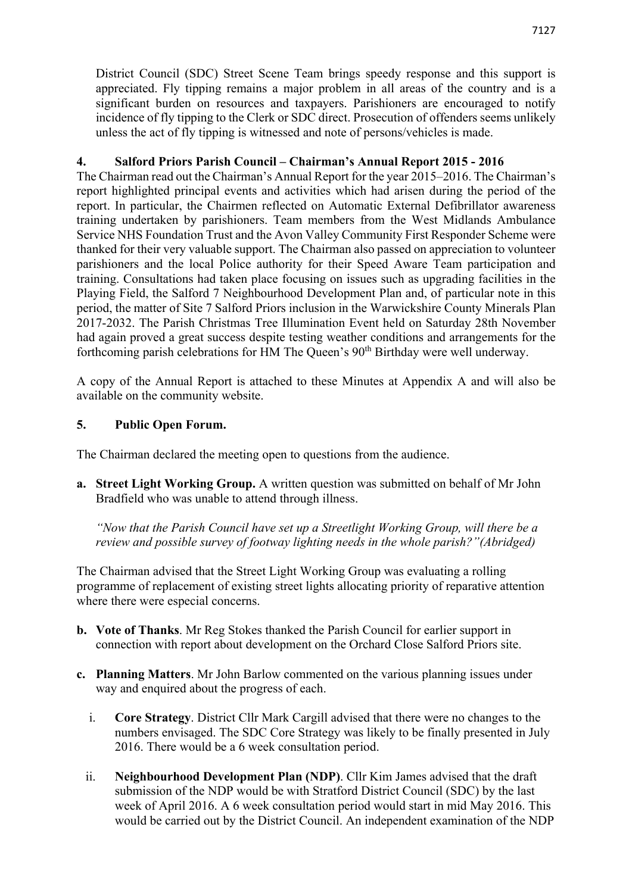District Council (SDC) Street Scene Team brings speedy response and this support is appreciated. Fly tipping remains a major problem in all areas of the country and is a significant burden on resources and taxpayers. Parishioners are encouraged to notify incidence of fly tipping to the Clerk or SDC direct. Prosecution of offenders seems unlikely unless the act of fly tipping is witnessed and note of persons/vehicles is made.

## **4. Salford Priors Parish Council – Chairman's Annual Report 2015 - 2016**

The Chairman read out the Chairman's Annual Report for the year 2015–2016. The Chairman's report highlighted principal events and activities which had arisen during the period of the report. In particular, the Chairmen reflected on Automatic External Defibrillator awareness training undertaken by parishioners. Team members from the West Midlands Ambulance Service NHS Foundation Trust and the Avon Valley Community First Responder Scheme were thanked for their very valuable support. The Chairman also passed on appreciation to volunteer parishioners and the local Police authority for their Speed Aware Team participation and training. Consultations had taken place focusing on issues such as upgrading facilities in the Playing Field, the Salford 7 Neighbourhood Development Plan and, of particular note in this period, the matter of Site 7 Salford Priors inclusion in the Warwickshire County Minerals Plan 2017-2032. The Parish Christmas Tree Illumination Event held on Saturday 28th November had again proved a great success despite testing weather conditions and arrangements for the forthcoming parish celebrations for HM The Queen's 90<sup>th</sup> Birthday were well underway.

A copy of the Annual Report is attached to these Minutes at Appendix A and will also be available on the community website.

## **5. Public Open Forum.**

The Chairman declared the meeting open to questions from the audience.

**a. Street Light Working Group.** A written question was submitted on behalf of Mr John Bradfield who was unable to attend through illness.

*"Now that the Parish Council have set up a Streetlight Working Group, will there be a review and possible survey of footway lighting needs in the whole parish?"(Abridged)*

The Chairman advised that the Street Light Working Group was evaluating a rolling programme of replacement of existing street lights allocating priority of reparative attention where there were especial concerns.

- **b. Vote of Thanks**. Mr Reg Stokes thanked the Parish Council for earlier support in connection with report about development on the Orchard Close Salford Priors site.
- **c. Planning Matters**. Mr John Barlow commented on the various planning issues under way and enquired about the progress of each.
	- i. **Core Strategy**. District Cllr Mark Cargill advised that there were no changes to the numbers envisaged. The SDC Core Strategy was likely to be finally presented in July 2016. There would be a 6 week consultation period.
	- ii. **Neighbourhood Development Plan (NDP)**. Cllr Kim James advised that the draft submission of the NDP would be with Stratford District Council (SDC) by the last week of April 2016. A 6 week consultation period would start in mid May 2016. This would be carried out by the District Council. An independent examination of the NDP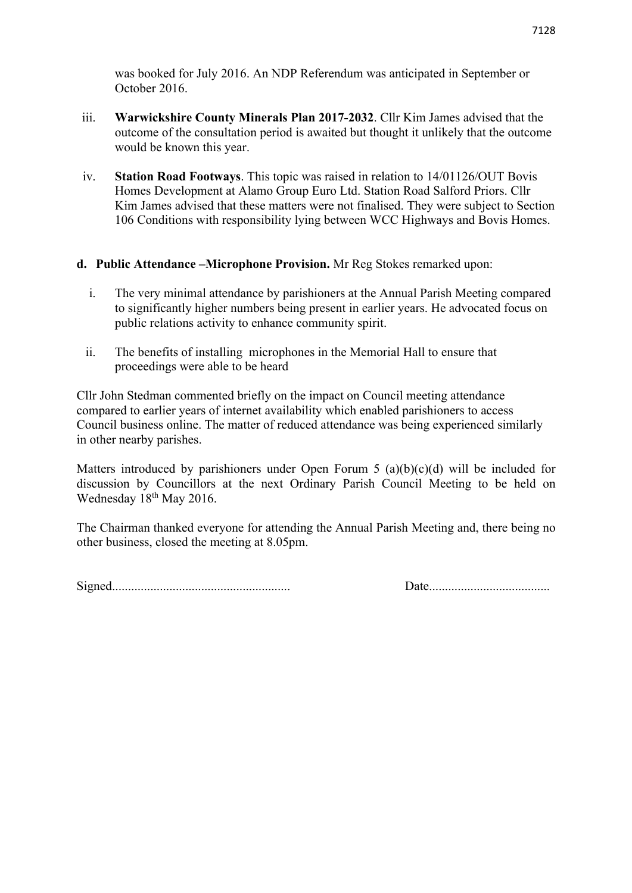was booked for July 2016. An NDP Referendum was anticipated in September or October 2016.

- iii. **Warwickshire County Minerals Plan 2017-2032**. Cllr Kim James advised that the outcome of the consultation period is awaited but thought it unlikely that the outcome would be known this year.
- iv. **Station Road Footways**. This topic was raised in relation to 14/01126/OUT Bovis Homes Development at Alamo Group Euro Ltd. Station Road Salford Priors. Cllr Kim James advised that these matters were not finalised. They were subject to Section 106 Conditions with responsibility lying between WCC Highways and Bovis Homes.
- **d. Public Attendance –Microphone Provision.** Mr Reg Stokes remarked upon:
	- i. The very minimal attendance by parishioners at the Annual Parish Meeting compared to significantly higher numbers being present in earlier years. He advocated focus on public relations activity to enhance community spirit.
	- ii. The benefits of installing microphones in the Memorial Hall to ensure that proceedings were able to be heard

Cllr John Stedman commented briefly on the impact on Council meeting attendance compared to earlier years of internet availability which enabled parishioners to access Council business online. The matter of reduced attendance was being experienced similarly in other nearby parishes.

Matters introduced by parishioners under Open Forum 5 (a)(b)(c)(d) will be included for discussion by Councillors at the next Ordinary Parish Council Meeting to be held on Wednesday 18<sup>th</sup> May 2016.

The Chairman thanked everyone for attending the Annual Parish Meeting and, there being no other business, closed the meeting at 8.05pm.

Signed........................................................ Date......................................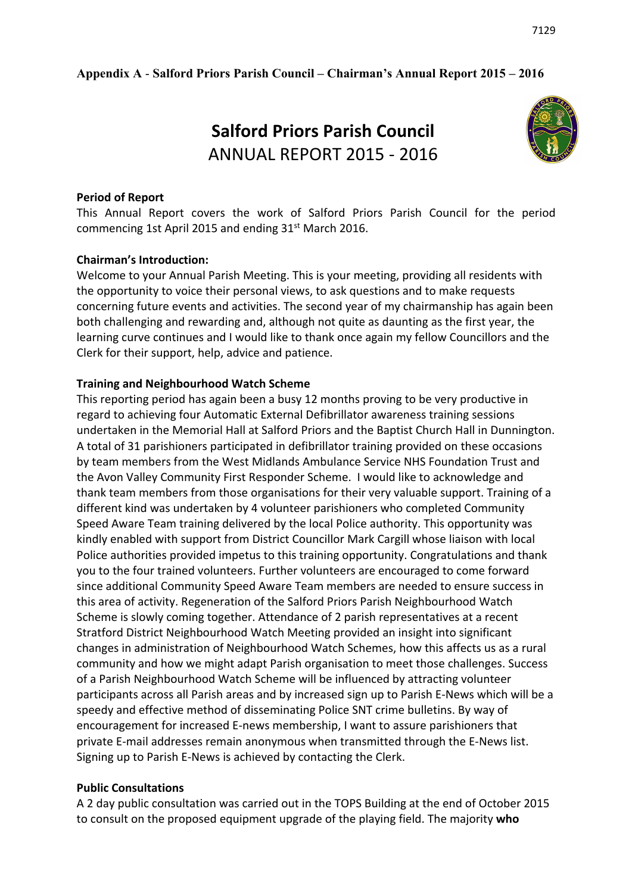## **Appendix A** - **Salford Priors Parish Council – Chairman's Annual Report 2015 – 2016**

# **Salford Priors Parish Council** ANNUAL REPORT 2015 - 2016



## **Period of Report**

This Annual Report covers the work of Salford Priors Parish Council for the period commencing 1st April 2015 and ending 31<sup>st</sup> March 2016.

## **Chairman's Introduction:**

Welcome to your Annual Parish Meeting. This is your meeting, providing all residents with the opportunity to voice their personal views, to ask questions and to make requests concerning future events and activities. The second year of my chairmanship has again been both challenging and rewarding and, although not quite as daunting as the first year, the learning curve continues and I would like to thank once again my fellow Councillors and the Clerk for their support, help, advice and patience.

# **Training and Neighbourhood Watch Scheme**

This reporting period has again been a busy 12 months proving to be very productive in regard to achieving four Automatic External Defibrillator awareness training sessions undertaken in the Memorial Hall at Salford Priors and the Baptist Church Hall in Dunnington. A total of 31 parishioners participated in defibrillator training provided on these occasions by team members from the West Midlands Ambulance Service NHS Foundation Trust and the Avon Valley Community First Responder Scheme. I would like to acknowledge and thank team members from those organisations for their very valuable support. Training of a different kind was undertaken by 4 volunteer parishioners who completed Community Speed Aware Team training delivered by the local Police authority. This opportunity was kindly enabled with support from District Councillor Mark Cargill whose liaison with local Police authorities provided impetus to this training opportunity. Congratulations and thank you to the four trained volunteers. Further volunteers are encouraged to come forward since additional Community Speed Aware Team members are needed to ensure success in this area of activity. Regeneration of the Salford Priors Parish Neighbourhood Watch Scheme is slowly coming together. Attendance of 2 parish representatives at a recent Stratford District Neighbourhood Watch Meeting provided an insight into significant changes in administration of Neighbourhood Watch Schemes, how this affects us as a rural community and how we might adapt Parish organisation to meet those challenges. Success of a Parish Neighbourhood Watch Scheme will be influenced by attracting volunteer participants across all Parish areas and by increased sign up to Parish E-News which will be a speedy and effective method of disseminating Police SNT crime bulletins. By way of encouragement for increased E-news membership, I want to assure parishioners that private E-mail addresses remain anonymous when transmitted through the E-News list. Signing up to Parish E-News is achieved by contacting the Clerk.

# **Public Consultations**

A 2 day public consultation was carried out in the TOPS Building at the end of October 2015 to consult on the proposed equipment upgrade of the playing field. The majority **who**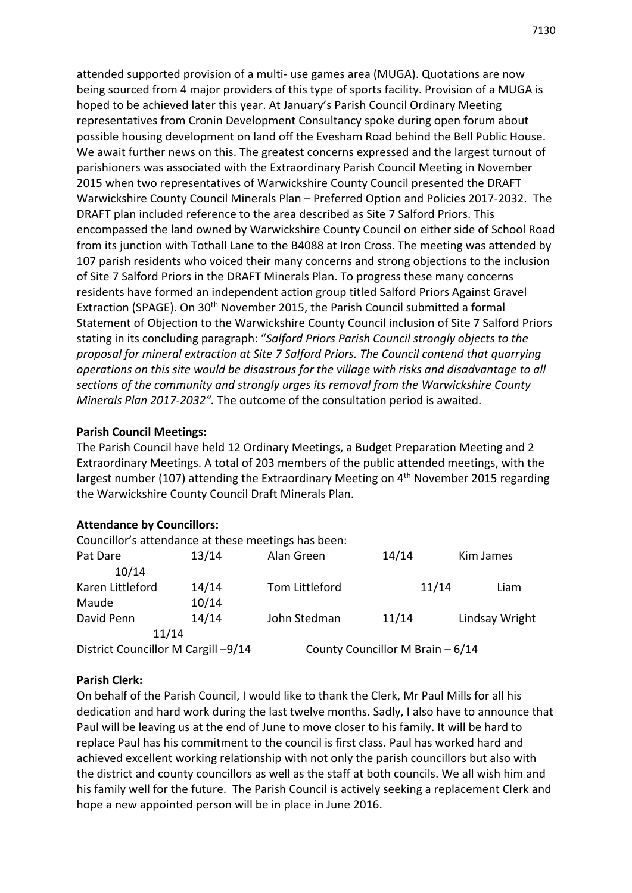attended supported provision of a multi- use games area (MUGA). Quotations are now being sourced from 4 major providers of this type of sports facility. Provision of a MUGA is hoped to be achieved later this year. At January's Parish Council Ordinary Meeting representatives from Cronin Development Consultancy spoke during open forum about possible housing development on land off the Evesham Road behind the Bell Public House. We await further news on this. The greatest concerns expressed and the largest turnout of parishioners was associated with the Extraordinary Parish Council Meeting in November 2015 when two representatives of Warwickshire County Council presented the DRAFT Warwickshire County Council Minerals Plan – Preferred Option and Policies 2017-2032. The DRAFT plan included reference to the area described as Site 7 Salford Priors. This encompassed the land owned by Warwickshire County Council on either side of School Road from its junction with Tothall Lane to the B4088 at Iron Cross. The meeting was attended by 107 parish residents who voiced their many concerns and strong objections to the inclusion of Site 7 Salford Priors in the DRAFT Minerals Plan. To progress these many concerns residents have formed an independent action group titled Salford Priors Against Gravel Extraction (SPAGE). On 30<sup>th</sup> November 2015, the Parish Council submitted a formal Statement of Objection to the Warwickshire County Council inclusion of Site 7 Salford Priors stating in its concluding paragraph: "*Salford Priors Parish Council strongly objects to the proposal for mineral extraction at Site 7 Salford Priors. The Council contend that quarrying operations on this site would be disastrous for the village with risks and disadvantage to all sections of the community and strongly urges its removal from the Warwickshire County Minerals Plan 2017-2032".* The outcome of the consultation period is awaited.

#### **Parish Council Meetings:**

The Parish Council have held 12 Ordinary Meetings, a Budget Preparation Meeting and 2 Extraordinary Meetings. A total of 203 members of the public attended meetings, with the largest number (107) attending the Extraordinary Meeting on 4<sup>th</sup> November 2015 regarding the Warwickshire County Council Draft Minerals Plan.

#### **Attendance by Councillors:**

| Councillor's attendance at these meetings has been: |       |                                  |       |                |
|-----------------------------------------------------|-------|----------------------------------|-------|----------------|
| Pat Dare<br>10/14                                   | 13/14 | Alan Green                       | 14/14 | Kim James      |
| Karen Littleford                                    | 14/14 | Tom Littleford                   | 11/14 | Liam           |
| Maude                                               | 10/14 |                                  |       |                |
| David Penn                                          | 14/14 | John Stedman                     | 11/14 | Lindsay Wright |
| 11/14                                               |       |                                  |       |                |
| District Councillor M Cargill -9/14                 |       | County Councillor M Brain - 6/14 |       |                |

#### **Parish Clerk:**

On behalf of the Parish Council, I would like to thank the Clerk, Mr Paul Mills for all his dedication and hard work during the last twelve months. Sadly, I also have to announce that Paul will be leaving us at the end of June to move closer to his family. It will be hard to replace Paul has his commitment to the council is first class. Paul has worked hard and achieved excellent working relationship with not only the parish councillors but also with the district and county councillors as well as the staff at both councils. We all wish him and his family well for the future. The Parish Council is actively seeking a replacement Clerk and hope a new appointed person will be in place in June 2016.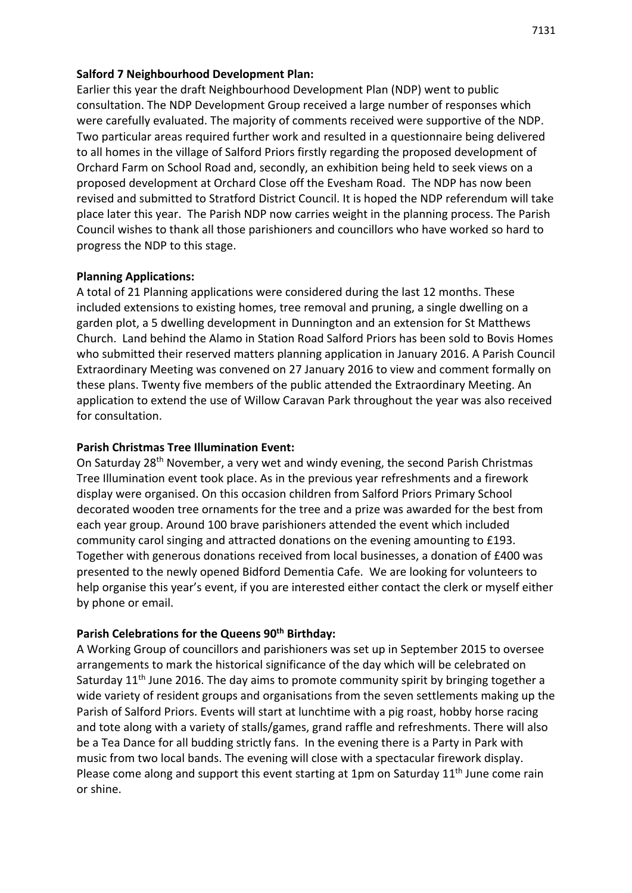#### **Salford 7 Neighbourhood Development Plan:**

Earlier this year the draft Neighbourhood Development Plan (NDP) went to public consultation. The NDP Development Group received a large number of responses which were carefully evaluated. The majority of comments received were supportive of the NDP. Two particular areas required further work and resulted in a questionnaire being delivered to all homes in the village of Salford Priors firstly regarding the proposed development of Orchard Farm on School Road and, secondly, an exhibition being held to seek views on a proposed development at Orchard Close off the Evesham Road. The NDP has now been revised and submitted to Stratford District Council. It is hoped the NDP referendum will take place later this year. The Parish NDP now carries weight in the planning process. The Parish Council wishes to thank all those parishioners and councillors who have worked so hard to progress the NDP to this stage.

## **Planning Applications:**

A total of 21 Planning applications were considered during the last 12 months. These included extensions to existing homes, tree removal and pruning, a single dwelling on a garden plot, a 5 dwelling development in Dunnington and an extension for St Matthews Church. Land behind the Alamo in Station Road Salford Priors has been sold to Bovis Homes who submitted their reserved matters planning application in January 2016. A Parish Council Extraordinary Meeting was convened on 27 January 2016 to view and comment formally on these plans. Twenty five members of the public attended the Extraordinary Meeting. An application to extend the use of Willow Caravan Park throughout the year was also received for consultation.

#### **Parish Christmas Tree Illumination Event:**

On Saturday 28th November, a very wet and windy evening, the second Parish Christmas Tree Illumination event took place. As in the previous year refreshments and a firework display were organised. On this occasion children from Salford Priors Primary School decorated wooden tree ornaments for the tree and a prize was awarded for the best from each year group. Around 100 brave parishioners attended the event which included community carol singing and attracted donations on the evening amounting to £193. Together with generous donations received from local businesses, a donation of £400 was presented to the newly opened Bidford Dementia Cafe. We are looking for volunteers to help organise this year's event, if you are interested either contact the clerk or myself either by phone or email.

## **Parish Celebrations for the Queens 90th Birthday:**

A Working Group of councillors and parishioners was set up in September 2015 to oversee arrangements to mark the historical significance of the day which will be celebrated on Saturday  $11<sup>th</sup>$  June 2016. The day aims to promote community spirit by bringing together a wide variety of resident groups and organisations from the seven settlements making up the Parish of Salford Priors. Events will start at lunchtime with a pig roast, hobby horse racing and tote along with a variety of stalls/games, grand raffle and refreshments. There will also be a Tea Dance for all budding strictly fans. In the evening there is a Party in Park with music from two local bands. The evening will close with a spectacular firework display. Please come along and support this event starting at 1pm on Saturday  $11<sup>th</sup>$  June come rain or shine.